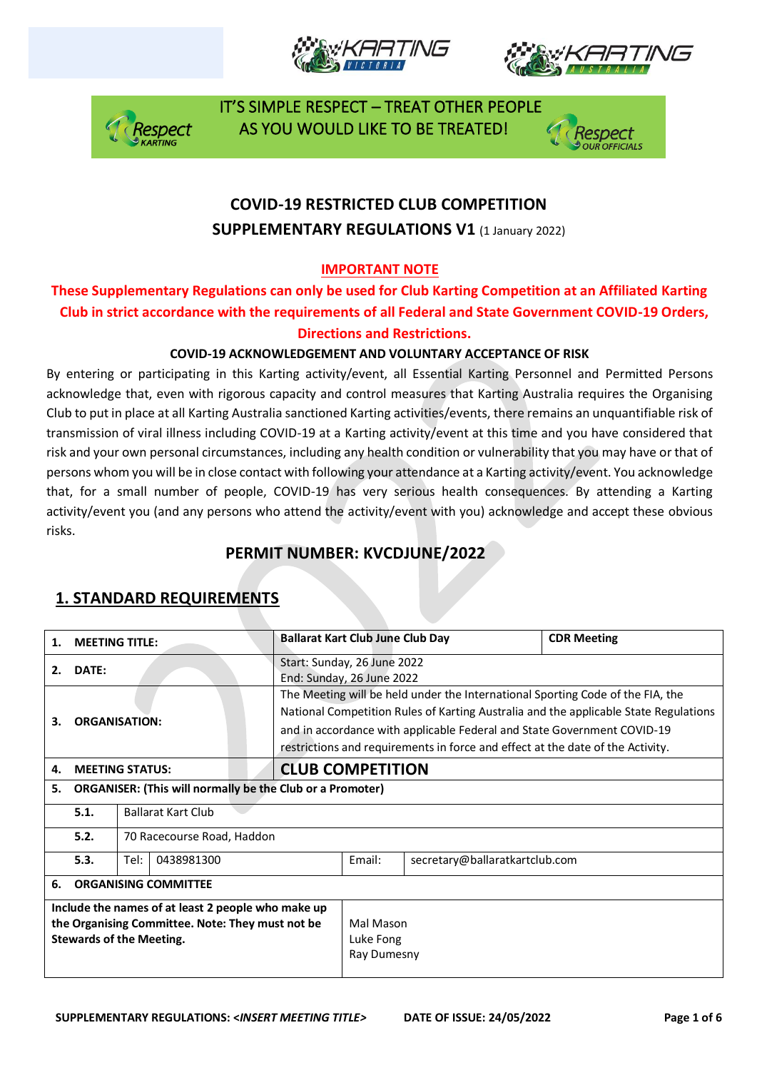





 IT'S SIMPLE RESPECT – TREAT OTHER PEOPLE Respect AS YOU WOULD LIKE TO BE TREATED!



# **COVID-19 RESTRICTED CLUB COMPETITION SUPPLEMENTARY REGULATIONS V1 (1 January 2022)**

#### **IMPORTANT NOTE**

#### **These Supplementary Regulations can only be used for Club Karting Competition at an Affiliated Karting Club in strict accordance with the requirements of all Federal and State Government COVID-19 Orders, Directions and Restrictions.**

#### **COVID-19 ACKNOWLEDGEMENT AND VOLUNTARY ACCEPTANCE OF RISK**

By entering or participating in this Karting activity/event, all Essential Karting Personnel and Permitted Persons acknowledge that, even with rigorous capacity and control measures that Karting Australia requires the Organising Club to put in place at all Karting Australia sanctioned Karting activities/events, there remains an unquantifiable risk of transmission of viral illness including COVID-19 at a Karting activity/event at this time and you have considered that risk and your own personal circumstances, including any health condition or vulnerability that you may have or that of persons whom you will be in close contact with following your attendance at a Karting activity/event. You acknowledge that, for a small number of people, COVID-19 has very serious health consequences. By attending a Karting activity/event you (and any persons who attend the activity/event with you) acknowledge and accept these obvious risks.

## **PERMIT NUMBER: KVCDJUNE/2022**

| 1.                                                                                                                                        | <b>MEETING TITLE:</b>              |                                                                  | <b>Ballarat Kart Club June Club Day</b>                                                                                                                                                                                                                                                                                             |  |                                | <b>CDR Meeting</b> |  |
|-------------------------------------------------------------------------------------------------------------------------------------------|------------------------------------|------------------------------------------------------------------|-------------------------------------------------------------------------------------------------------------------------------------------------------------------------------------------------------------------------------------------------------------------------------------------------------------------------------------|--|--------------------------------|--------------------|--|
| 2.                                                                                                                                        | DATE:                              |                                                                  | Start: Sunday, 26 June 2022<br>End: Sunday, 26 June 2022                                                                                                                                                                                                                                                                            |  |                                |                    |  |
| 3.                                                                                                                                        | <b>ORGANISATION:</b>               |                                                                  | The Meeting will be held under the International Sporting Code of the FIA, the<br>National Competition Rules of Karting Australia and the applicable State Regulations<br>and in accordance with applicable Federal and State Government COVID-19<br>restrictions and requirements in force and effect at the date of the Activity. |  |                                |                    |  |
| 4.                                                                                                                                        |                                    | <b>MEETING STATUS:</b>                                           | <b>CLUB COMPETITION</b>                                                                                                                                                                                                                                                                                                             |  |                                |                    |  |
| 5.                                                                                                                                        |                                    | <b>ORGANISER: (This will normally be the Club or a Promoter)</b> |                                                                                                                                                                                                                                                                                                                                     |  |                                |                    |  |
|                                                                                                                                           | 5.1.                               | <b>Ballarat Kart Club</b>                                        |                                                                                                                                                                                                                                                                                                                                     |  |                                |                    |  |
|                                                                                                                                           | 5.2.<br>70 Racecourse Road, Haddon |                                                                  |                                                                                                                                                                                                                                                                                                                                     |  |                                |                    |  |
|                                                                                                                                           | 5.3.                               | Tel:<br>0438981300                                               |                                                                                                                                                                                                                                                                                                                                     |  | secretary@ballaratkartclub.com |                    |  |
| 6.                                                                                                                                        | <b>ORGANISING COMMITTEE</b>        |                                                                  |                                                                                                                                                                                                                                                                                                                                     |  |                                |                    |  |
| Include the names of at least 2 people who make up<br>the Organising Committee. Note: They must not be<br><b>Stewards of the Meeting.</b> |                                    |                                                                  | Mal Mason<br>Luke Fong<br>Ray Dumesny                                                                                                                                                                                                                                                                                               |  |                                |                    |  |

## **1. STANDARD REQUIREMENTS**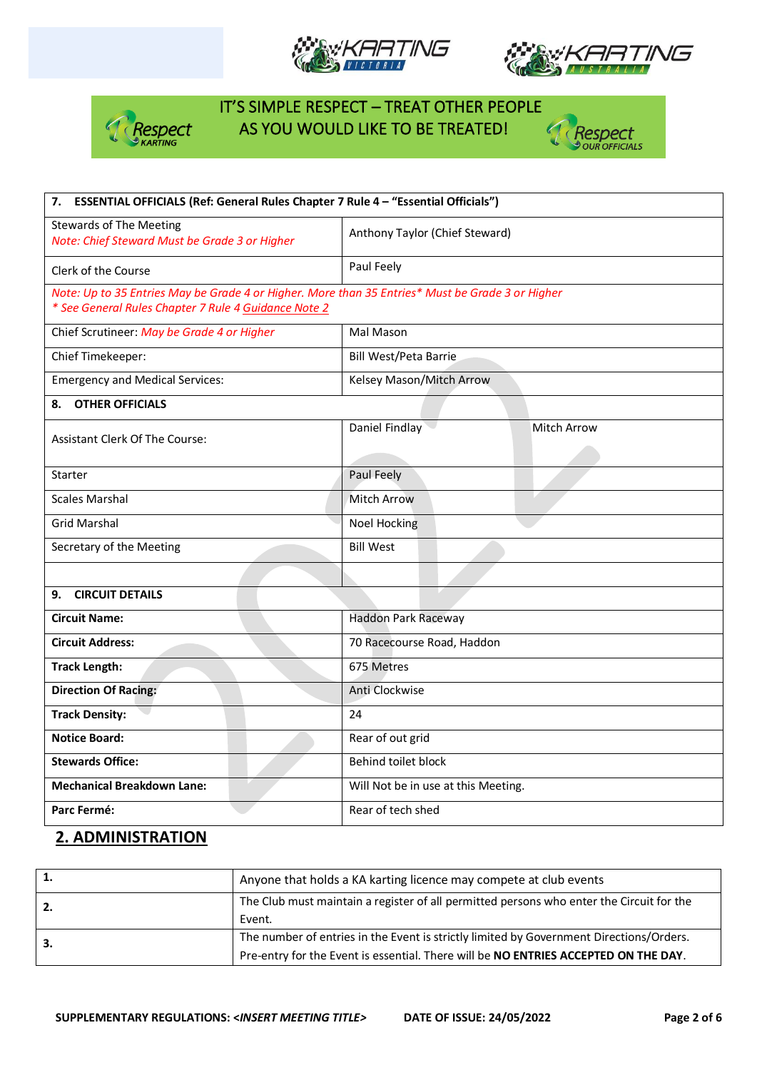





# IT'S SIMPLE RESPECT – TREAT OTHER PEOPLE Respect AS YOU WOULD LIKE TO BE TREATED!



| ESSENTIAL OFFICIALS (Ref: General Rules Chapter 7 Rule 4 - "Essential Officials")<br>7.                                                                  |                                     |  |  |  |
|----------------------------------------------------------------------------------------------------------------------------------------------------------|-------------------------------------|--|--|--|
| <b>Stewards of The Meeting</b><br>Note: Chief Steward Must be Grade 3 or Higher                                                                          | Anthony Taylor (Chief Steward)      |  |  |  |
| Clerk of the Course                                                                                                                                      | Paul Feely                          |  |  |  |
| Note: Up to 35 Entries May be Grade 4 or Higher. More than 35 Entries* Must be Grade 3 or Higher<br>* See General Rules Chapter 7 Rule 4 Guidance Note 2 |                                     |  |  |  |
| Chief Scrutineer: May be Grade 4 or Higher                                                                                                               | Mal Mason                           |  |  |  |
|                                                                                                                                                          |                                     |  |  |  |
| Chief Timekeeper:                                                                                                                                        | Bill West/Peta Barrie               |  |  |  |
| <b>Emergency and Medical Services:</b>                                                                                                                   | Kelsey Mason/Mitch Arrow            |  |  |  |
| <b>OTHER OFFICIALS</b><br>8.                                                                                                                             |                                     |  |  |  |
|                                                                                                                                                          | Daniel Findlay<br>Mitch Arrow       |  |  |  |
| <b>Assistant Clerk Of The Course:</b>                                                                                                                    |                                     |  |  |  |
| <b>Starter</b>                                                                                                                                           | Paul Feely                          |  |  |  |
| <b>Scales Marshal</b>                                                                                                                                    | <b>Mitch Arrow</b>                  |  |  |  |
| <b>Grid Marshal</b>                                                                                                                                      | Noel Hocking                        |  |  |  |
| Secretary of the Meeting                                                                                                                                 | <b>Bill West</b>                    |  |  |  |
|                                                                                                                                                          |                                     |  |  |  |
| <b>CIRCUIT DETAILS</b><br>9.                                                                                                                             |                                     |  |  |  |
| <b>Circuit Name:</b>                                                                                                                                     | <b>Haddon Park Raceway</b>          |  |  |  |
| <b>Circuit Address:</b>                                                                                                                                  | 70 Racecourse Road, Haddon          |  |  |  |
| <b>Track Length:</b>                                                                                                                                     | 675 Metres                          |  |  |  |
| <b>Direction Of Racing:</b>                                                                                                                              | Anti Clockwise                      |  |  |  |
| <b>Track Density:</b>                                                                                                                                    | 24                                  |  |  |  |
| <b>Notice Board:</b>                                                                                                                                     | Rear of out grid                    |  |  |  |
| <b>Stewards Office:</b>                                                                                                                                  | Behind toilet block                 |  |  |  |
| <b>Mechanical Breakdown Lane:</b>                                                                                                                        | Will Not be in use at this Meeting. |  |  |  |
| Parc Fermé:                                                                                                                                              | Rear of tech shed                   |  |  |  |

### **2. ADMINISTRATION**

|    | Anyone that holds a KA karting licence may compete at club events                                                                                                              |
|----|--------------------------------------------------------------------------------------------------------------------------------------------------------------------------------|
| 2. | The Club must maintain a register of all permitted persons who enter the Circuit for the<br>Event.                                                                             |
| 3. | The number of entries in the Event is strictly limited by Government Directions/Orders.<br>Pre-entry for the Event is essential. There will be NO ENTRIES ACCEPTED ON THE DAY. |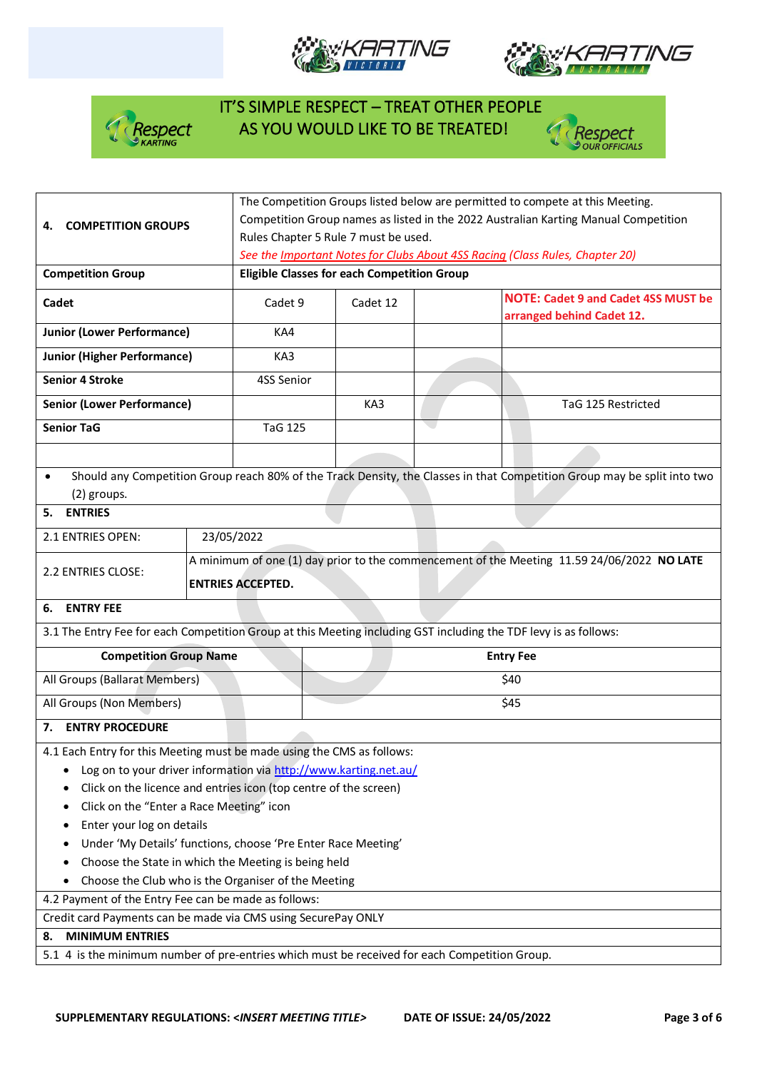





# IT'S SIMPLE RESPECT – TREAT OTHER PEOPLE **As SEP YOU WOULD LIKE TO BE TREATED!**



|                                                                                                                  |                                                                                                                        | The Competition Groups listed below are permitted to compete at this Meeting.                                               |  |                                                                                                                          |  |  |
|------------------------------------------------------------------------------------------------------------------|------------------------------------------------------------------------------------------------------------------------|-----------------------------------------------------------------------------------------------------------------------------|--|--------------------------------------------------------------------------------------------------------------------------|--|--|
| <b>COMPETITION GROUPS</b><br>4.                                                                                  |                                                                                                                        | Competition Group names as listed in the 2022 Australian Karting Manual Competition                                         |  |                                                                                                                          |  |  |
|                                                                                                                  |                                                                                                                        | Rules Chapter 5 Rule 7 must be used.<br>See the <i>Important Notes for Clubs About 4SS Racing (Class Rules, Chapter 20)</i> |  |                                                                                                                          |  |  |
| <b>Competition Group</b>                                                                                         |                                                                                                                        | <b>Eligible Classes for each Competition Group</b>                                                                          |  |                                                                                                                          |  |  |
|                                                                                                                  |                                                                                                                        |                                                                                                                             |  |                                                                                                                          |  |  |
| Cadet                                                                                                            | Cadet 9                                                                                                                | Cadet 12                                                                                                                    |  | <b>NOTE: Cadet 9 and Cadet 4SS MUST be</b><br>arranged behind Cadet 12.                                                  |  |  |
| <b>Junior (Lower Performance)</b>                                                                                | KA4                                                                                                                    |                                                                                                                             |  |                                                                                                                          |  |  |
| <b>Junior (Higher Performance)</b>                                                                               | KA3                                                                                                                    |                                                                                                                             |  |                                                                                                                          |  |  |
| <b>Senior 4 Stroke</b>                                                                                           | 4SS Senior                                                                                                             |                                                                                                                             |  |                                                                                                                          |  |  |
| <b>Senior (Lower Performance)</b>                                                                                |                                                                                                                        | KA3                                                                                                                         |  | TaG 125 Restricted                                                                                                       |  |  |
| <b>Senior TaG</b>                                                                                                | <b>TaG 125</b>                                                                                                         |                                                                                                                             |  |                                                                                                                          |  |  |
|                                                                                                                  |                                                                                                                        |                                                                                                                             |  |                                                                                                                          |  |  |
| $\bullet$<br>(2) groups.                                                                                         |                                                                                                                        |                                                                                                                             |  | Should any Competition Group reach 80% of the Track Density, the Classes in that Competition Group may be split into two |  |  |
| <b>ENTRIES</b><br>5.                                                                                             |                                                                                                                        |                                                                                                                             |  |                                                                                                                          |  |  |
| 2.1 ENTRIES OPEN:                                                                                                | 23/05/2022                                                                                                             |                                                                                                                             |  |                                                                                                                          |  |  |
| 2.2 ENTRIES CLOSE:                                                                                               | A minimum of one (1) day prior to the commencement of the Meeting 11.59 24/06/2022 NO LATE<br><b>ENTRIES ACCEPTED.</b> |                                                                                                                             |  |                                                                                                                          |  |  |
| <b>ENTRY FEE</b><br>6.                                                                                           |                                                                                                                        |                                                                                                                             |  |                                                                                                                          |  |  |
| 3.1 The Entry Fee for each Competition Group at this Meeting including GST including the TDF levy is as follows: |                                                                                                                        |                                                                                                                             |  |                                                                                                                          |  |  |
| <b>Competition Group Name</b>                                                                                    |                                                                                                                        | <b>Entry Fee</b>                                                                                                            |  |                                                                                                                          |  |  |
| All Groups (Ballarat Members)                                                                                    |                                                                                                                        | \$40                                                                                                                        |  |                                                                                                                          |  |  |
| All Groups (Non Members)                                                                                         |                                                                                                                        | \$45                                                                                                                        |  |                                                                                                                          |  |  |
| 7. ENTRY PROCEDURE                                                                                               |                                                                                                                        |                                                                                                                             |  |                                                                                                                          |  |  |
|                                                                                                                  | 4.1 Each Entry for this Meeting must be made using the CMS as follows:                                                 |                                                                                                                             |  |                                                                                                                          |  |  |
| Log on to your driver information via http://www.karting.net.au/                                                 |                                                                                                                        |                                                                                                                             |  |                                                                                                                          |  |  |
| Click on the licence and entries icon (top centre of the screen)                                                 |                                                                                                                        |                                                                                                                             |  |                                                                                                                          |  |  |
| Click on the "Enter a Race Meeting" icon                                                                         |                                                                                                                        |                                                                                                                             |  |                                                                                                                          |  |  |
| Enter your log on details                                                                                        |                                                                                                                        |                                                                                                                             |  |                                                                                                                          |  |  |
| Under 'My Details' functions, choose 'Pre Enter Race Meeting'                                                    |                                                                                                                        |                                                                                                                             |  |                                                                                                                          |  |  |
| Choose the State in which the Meeting is being held                                                              |                                                                                                                        |                                                                                                                             |  |                                                                                                                          |  |  |
| Choose the Club who is the Organiser of the Meeting                                                              |                                                                                                                        |                                                                                                                             |  |                                                                                                                          |  |  |
| 4.2 Payment of the Entry Fee can be made as follows:                                                             |                                                                                                                        |                                                                                                                             |  |                                                                                                                          |  |  |
| Credit card Payments can be made via CMS using SecurePay ONLY                                                    |                                                                                                                        |                                                                                                                             |  |                                                                                                                          |  |  |
| <b>MINIMUM ENTRIES</b><br>8.                                                                                     |                                                                                                                        |                                                                                                                             |  |                                                                                                                          |  |  |
| 5.1 4 is the minimum number of pre-entries which must be received for each Competition Group.                    |                                                                                                                        |                                                                                                                             |  |                                                                                                                          |  |  |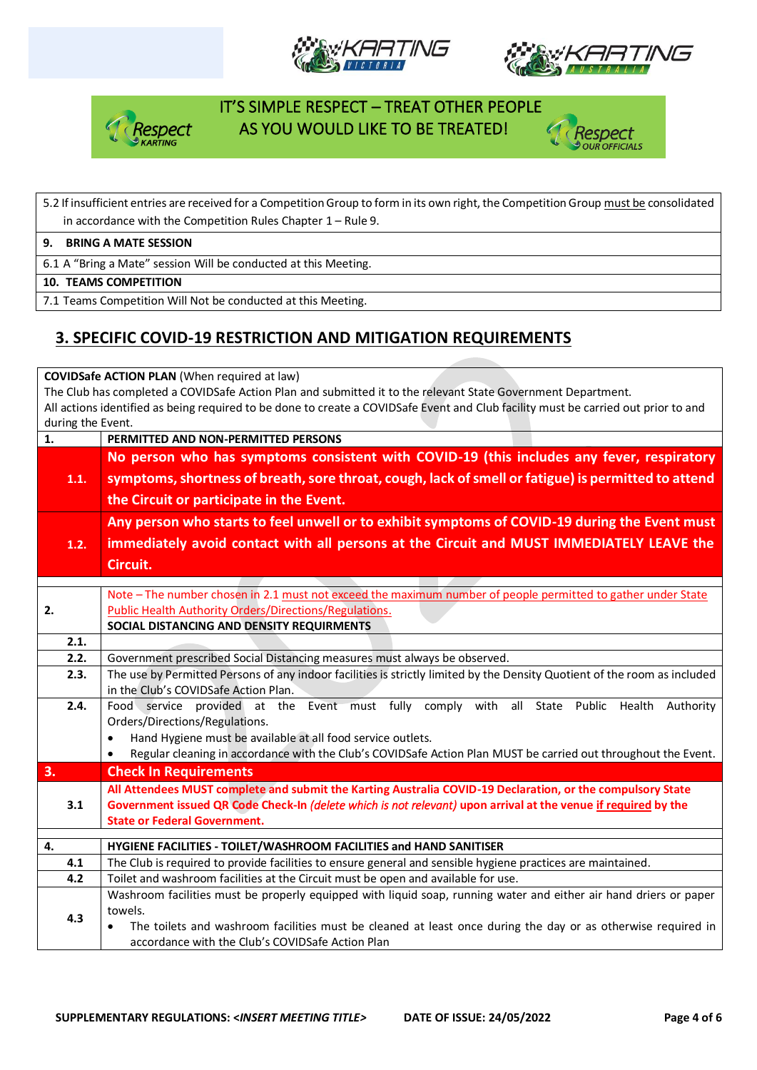





# IT'S SIMPLE RESPECT – TREAT OTHER PEOPLE espect AS YOU WOULD LIKE TO BE TREATED!



#### 5.2 If insufficient entries are received for a Competition Group to form in its own right, the Competition Group must be consolidated in accordance with the Competition Rules Chapter 1 – Rule 9.

#### **9. BRING A MATE SESSION**

6.1 A "Bring a Mate" session Will be conducted at this Meeting.

#### **10. TEAMS COMPETITION**

7.1 Teams Competition Will Not be conducted at this Meeting.

## **3. SPECIFIC COVID-19 RESTRICTION AND MITIGATION REQUIREMENTS**

**COVIDSafe ACTION PLAN** (When required at law)

The Club has completed a COVIDSafe Action Plan and submitted it to the relevant State Government Department. All actions identified as being required to be done to create a COVIDSafe Event and Club facility must be carried out prior to and during the Event.

| PERMITTED AND NON-PERMITTED PERSONS                                                                                                                                                                     |  |  |  |  |  |  |
|---------------------------------------------------------------------------------------------------------------------------------------------------------------------------------------------------------|--|--|--|--|--|--|
| No person who has symptoms consistent with COVID-19 (this includes any fever, respiratory                                                                                                               |  |  |  |  |  |  |
| symptoms, shortness of breath, sore throat, cough, lack of smell or fatigue) is permitted to attend                                                                                                     |  |  |  |  |  |  |
| the Circuit or participate in the Event.                                                                                                                                                                |  |  |  |  |  |  |
| Any person who starts to feel unwell or to exhibit symptoms of COVID-19 during the Event must                                                                                                           |  |  |  |  |  |  |
|                                                                                                                                                                                                         |  |  |  |  |  |  |
| immediately avoid contact with all persons at the Circuit and MUST IMMEDIATELY LEAVE the                                                                                                                |  |  |  |  |  |  |
| Circuit.                                                                                                                                                                                                |  |  |  |  |  |  |
| Note - The number chosen in 2.1 must not exceed the maximum number of people permitted to gather under State                                                                                            |  |  |  |  |  |  |
| Public Health Authority Orders/Directions/Regulations.                                                                                                                                                  |  |  |  |  |  |  |
| SOCIAL DISTANCING AND DENSITY REQUIRMENTS                                                                                                                                                               |  |  |  |  |  |  |
|                                                                                                                                                                                                         |  |  |  |  |  |  |
| Government prescribed Social Distancing measures must always be observed.                                                                                                                               |  |  |  |  |  |  |
| The use by Permitted Persons of any indoor facilities is strictly limited by the Density Quotient of the room as included                                                                               |  |  |  |  |  |  |
| in the Club's COVIDSafe Action Plan.                                                                                                                                                                    |  |  |  |  |  |  |
| Food service provided at the Event must fully comply with all State Public Health Authority                                                                                                             |  |  |  |  |  |  |
| Orders/Directions/Regulations.                                                                                                                                                                          |  |  |  |  |  |  |
| Hand Hygiene must be available at all food service outlets.<br>$\bullet$<br>Regular cleaning in accordance with the Club's COVIDSafe Action Plan MUST be carried out throughout the Event.<br>$\bullet$ |  |  |  |  |  |  |
| <b>Check In Requirements</b>                                                                                                                                                                            |  |  |  |  |  |  |
| All Attendees MUST complete and submit the Karting Australia COVID-19 Declaration, or the compulsory State                                                                                              |  |  |  |  |  |  |
| Government issued QR Code Check-In (delete which is not relevant) upon arrival at the venue if required by the                                                                                          |  |  |  |  |  |  |
| <b>State or Federal Government.</b>                                                                                                                                                                     |  |  |  |  |  |  |
|                                                                                                                                                                                                         |  |  |  |  |  |  |
| HYGIENE FACILITIES - TOILET/WASHROOM FACILITIES and HAND SANITISER                                                                                                                                      |  |  |  |  |  |  |
| The Club is required to provide facilities to ensure general and sensible hygiene practices are maintained.                                                                                             |  |  |  |  |  |  |
| Toilet and washroom facilities at the Circuit must be open and available for use.                                                                                                                       |  |  |  |  |  |  |
| Washroom facilities must be properly equipped with liquid soap, running water and either air hand driers or paper<br>towels.                                                                            |  |  |  |  |  |  |
| The toilets and washroom facilities must be cleaned at least once during the day or as otherwise required in                                                                                            |  |  |  |  |  |  |
| accordance with the Club's COVIDSafe Action Plan                                                                                                                                                        |  |  |  |  |  |  |
|                                                                                                                                                                                                         |  |  |  |  |  |  |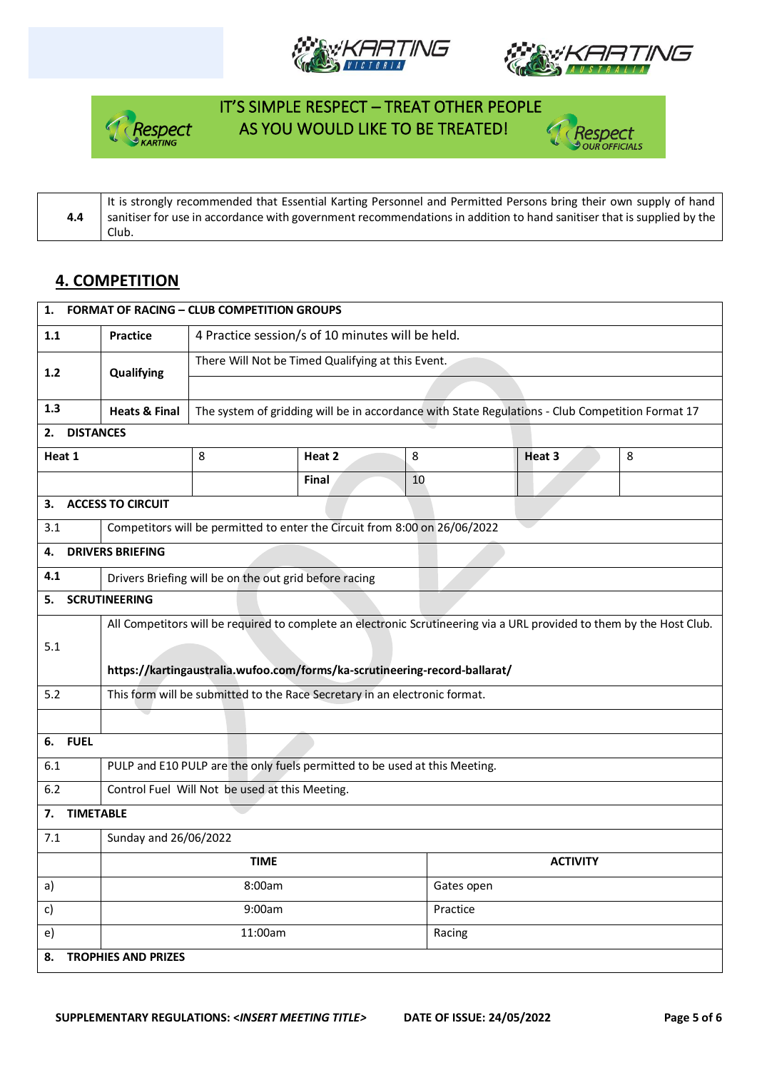





# IT'S SIMPLE RESPECT – TREAT OTHER PEOPLE espect AS YOU WOULD LIKE TO BE TREATED!



**4.4** It is strongly recommended that Essential Karting Personnel and Permitted Persons bring their own supply of hand sanitiser for use in accordance with government recommendations in addition to hand sanitiser that is supplied by the Club.

#### **4. COMPETITION**

| 1.                               | <b>FORMAT OF RACING - CLUB COMPETITION GROUPS</b>                                                                     |                                                                            |        |                 |                                                                                                  |   |  |
|----------------------------------|-----------------------------------------------------------------------------------------------------------------------|----------------------------------------------------------------------------|--------|-----------------|--------------------------------------------------------------------------------------------------|---|--|
| 1.1                              | <b>Practice</b>                                                                                                       | 4 Practice session/s of 10 minutes will be held.                           |        |                 |                                                                                                  |   |  |
| $1.2$                            | Qualifying                                                                                                            | There Will Not be Timed Qualifying at this Event.                          |        |                 |                                                                                                  |   |  |
|                                  |                                                                                                                       |                                                                            |        |                 |                                                                                                  |   |  |
| 1.3                              | <b>Heats &amp; Final</b>                                                                                              |                                                                            |        |                 | The system of gridding will be in accordance with State Regulations - Club Competition Format 17 |   |  |
| <b>DISTANCES</b><br>2.           |                                                                                                                       |                                                                            |        |                 |                                                                                                  |   |  |
| Heat 1                           |                                                                                                                       | 8                                                                          | Heat 2 | 8               | Heat 3                                                                                           | 8 |  |
|                                  |                                                                                                                       |                                                                            | Final  | 10              |                                                                                                  |   |  |
| 3.                               | <b>ACCESS TO CIRCUIT</b>                                                                                              |                                                                            |        |                 |                                                                                                  |   |  |
| 3.1                              |                                                                                                                       | Competitors will be permitted to enter the Circuit from 8:00 on 26/06/2022 |        |                 |                                                                                                  |   |  |
| 4.                               | <b>DRIVERS BRIEFING</b>                                                                                               |                                                                            |        |                 |                                                                                                  |   |  |
| 4.1                              |                                                                                                                       | Drivers Briefing will be on the out grid before racing                     |        |                 |                                                                                                  |   |  |
| 5.                               | <b>SCRUTINEERING</b>                                                                                                  |                                                                            |        |                 |                                                                                                  |   |  |
|                                  | All Competitors will be required to complete an electronic Scrutineering via a URL provided to them by the Host Club. |                                                                            |        |                 |                                                                                                  |   |  |
| 5.1                              |                                                                                                                       |                                                                            |        |                 |                                                                                                  |   |  |
|                                  | https://kartingaustralia.wufoo.com/forms/ka-scrutineering-record-ballarat/                                            |                                                                            |        |                 |                                                                                                  |   |  |
| 5.2                              | This form will be submitted to the Race Secretary in an electronic format.                                            |                                                                            |        |                 |                                                                                                  |   |  |
|                                  |                                                                                                                       |                                                                            |        |                 |                                                                                                  |   |  |
| <b>FUEL</b><br>6.                |                                                                                                                       |                                                                            |        |                 |                                                                                                  |   |  |
| 6.1                              | PULP and E10 PULP are the only fuels permitted to be used at this Meeting.                                            |                                                                            |        |                 |                                                                                                  |   |  |
| $6.2$                            | Control Fuel Will Not be used at this Meeting.                                                                        |                                                                            |        |                 |                                                                                                  |   |  |
| <b>TIMETABLE</b><br>7.           |                                                                                                                       |                                                                            |        |                 |                                                                                                  |   |  |
| 7.1                              | Sunday and 26/06/2022                                                                                                 |                                                                            |        |                 |                                                                                                  |   |  |
|                                  | <b>TIME</b>                                                                                                           |                                                                            |        | <b>ACTIVITY</b> |                                                                                                  |   |  |
| a)                               | 8:00am                                                                                                                |                                                                            |        | Gates open      |                                                                                                  |   |  |
| c)                               |                                                                                                                       | 9:00am                                                                     |        |                 | Practice                                                                                         |   |  |
| e)                               | 11:00am<br>Racing                                                                                                     |                                                                            |        |                 |                                                                                                  |   |  |
| <b>TROPHIES AND PRIZES</b><br>8. |                                                                                                                       |                                                                            |        |                 |                                                                                                  |   |  |